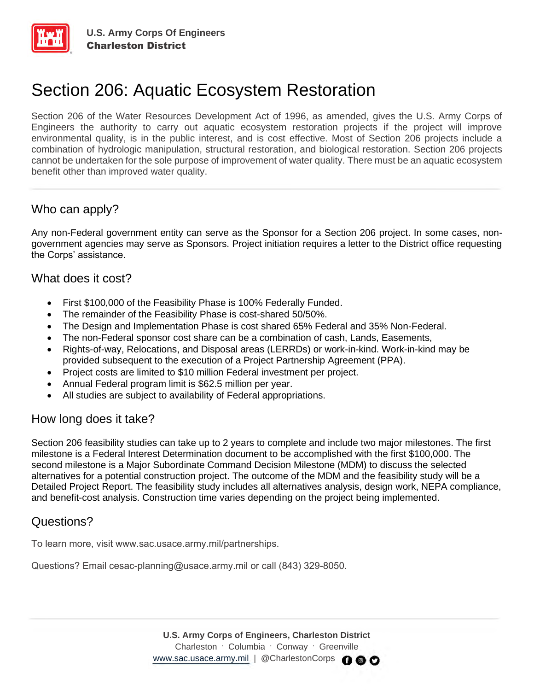

# Section 206: Aquatic Ecosystem Restoration

Section 206 of the Water Resources Development Act of 1996, as amended, gives the U.S. Army Corps of Engineers the authority to carry out aquatic ecosystem restoration projects if the project will improve environmental quality, is in the public interest, and is cost effective. Most of Section 206 projects include a combination of hydrologic manipulation, structural restoration, and biological restoration. Section 206 projects cannot be undertaken for the sole purpose of improvement of water quality. There must be an aquatic ecosystem benefit other than improved water quality.

### Who can apply?

Any non-Federal government entity can serve as the Sponsor for a Section 206 project. In some cases, nongovernment agencies may serve as Sponsors. Project initiation requires a letter to the District office requesting the Corps' assistance.

#### What does it cost?

- First \$100,000 of the Feasibility Phase is 100% Federally Funded.
- The remainder of the Feasibility Phase is cost-shared 50/50%.
- The Design and Implementation Phase is cost shared 65% Federal and 35% Non-Federal.
- The non-Federal sponsor cost share can be a combination of cash, Lands, Easements,
- Rights-of-way, Relocations, and Disposal areas (LERRDs) or work-in-kind. Work-in-kind may be provided subsequent to the execution of a Project Partnership Agreement (PPA).
- Project costs are limited to \$10 million Federal investment per project.
- Annual Federal program limit is \$62.5 million per year.
- All studies are subject to availability of Federal appropriations.

#### How long does it take?

Section 206 feasibility studies can take up to 2 years to complete and include two major milestones. The first milestone is a Federal Interest Determination document to be accomplished with the first \$100,000. The second milestone is a Major Subordinate Command Decision Milestone (MDM) to discuss the selected alternatives for a potential construction project. The outcome of the MDM and the feasibility study will be a Detailed Project Report. The feasibility study includes all alternatives analysis, design work, NEPA compliance, and benefit-cost analysis. Construction time varies depending on the project being implemented.

## Questions?

To learn more, visit www.sac.usace.army.mil/partnerships.

Questions? Email cesac-planning@usace.army.mil or call (843) 329-8050.